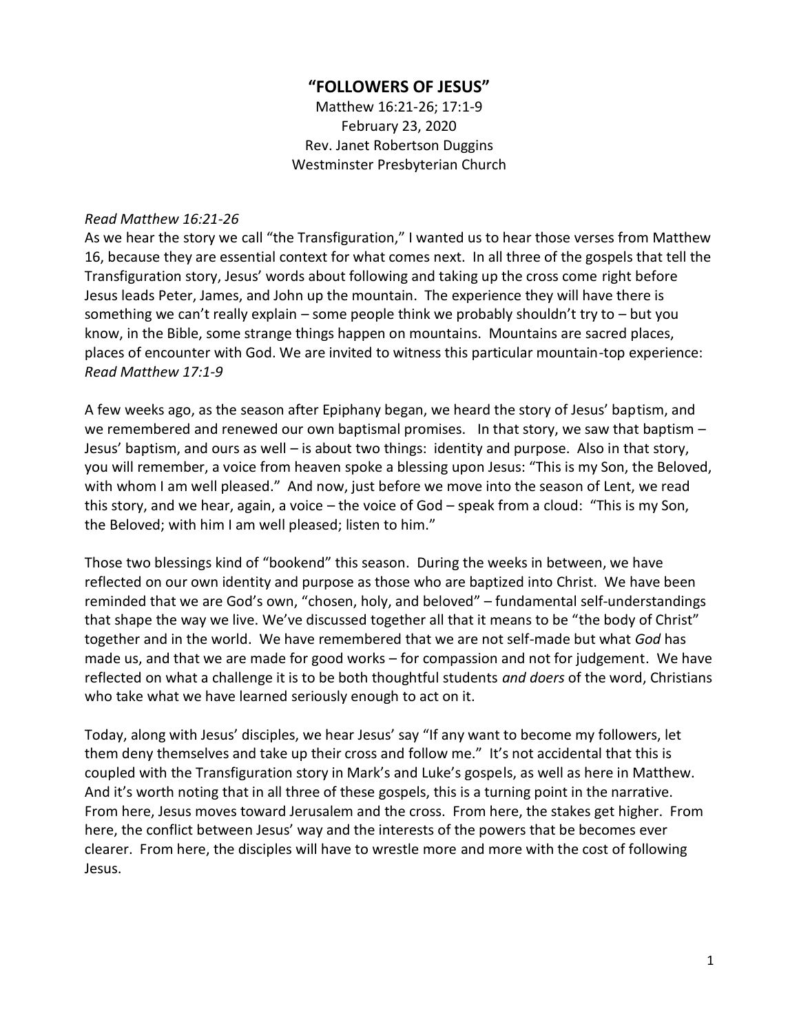## **"FOLLOWERS OF JESUS"**

Matthew 16:21-26; 17:1-9 February 23, 2020 Rev. Janet Robertson Duggins Westminster Presbyterian Church

## *Read Matthew 16:21-26*

As we hear the story we call "the Transfiguration," I wanted us to hear those verses from Matthew 16, because they are essential context for what comes next. In all three of the gospels that tell the Transfiguration story, Jesus' words about following and taking up the cross come right before Jesus leads Peter, James, and John up the mountain. The experience they will have there is something we can't really explain – some people think we probably shouldn't try to – but you know, in the Bible, some strange things happen on mountains. Mountains are sacred places, places of encounter with God. We are invited to witness this particular mountain-top experience: *Read Matthew 17:1-9*

A few weeks ago, as the season after Epiphany began, we heard the story of Jesus' baptism, and we remembered and renewed our own baptismal promises. In that story, we saw that baptism – Jesus' baptism, and ours as well – is about two things: identity and purpose. Also in that story, you will remember, a voice from heaven spoke a blessing upon Jesus: "This is my Son, the Beloved, with whom I am well pleased." And now, just before we move into the season of Lent, we read this story, and we hear, again, a voice – the voice of God – speak from a cloud: "This is my Son, the Beloved; with him I am well pleased; listen to him."

Those two blessings kind of "bookend" this season. During the weeks in between, we have reflected on our own identity and purpose as those who are baptized into Christ. We have been reminded that we are God's own, "chosen, holy, and beloved" – fundamental self-understandings that shape the way we live. We've discussed together all that it means to be "the body of Christ" together and in the world. We have remembered that we are not self-made but what *God* has made us, and that we are made for good works – for compassion and not for judgement. We have reflected on what a challenge it is to be both thoughtful students *and doers* of the word, Christians who take what we have learned seriously enough to act on it.

Today, along with Jesus' disciples, we hear Jesus' say "If any want to become my followers, let them deny themselves and take up their cross and follow me." It's not accidental that this is coupled with the Transfiguration story in Mark's and Luke's gospels, as well as here in Matthew. And it's worth noting that in all three of these gospels, this is a turning point in the narrative. From here, Jesus moves toward Jerusalem and the cross. From here, the stakes get higher. From here, the conflict between Jesus' way and the interests of the powers that be becomes ever clearer. From here, the disciples will have to wrestle more and more with the cost of following Jesus.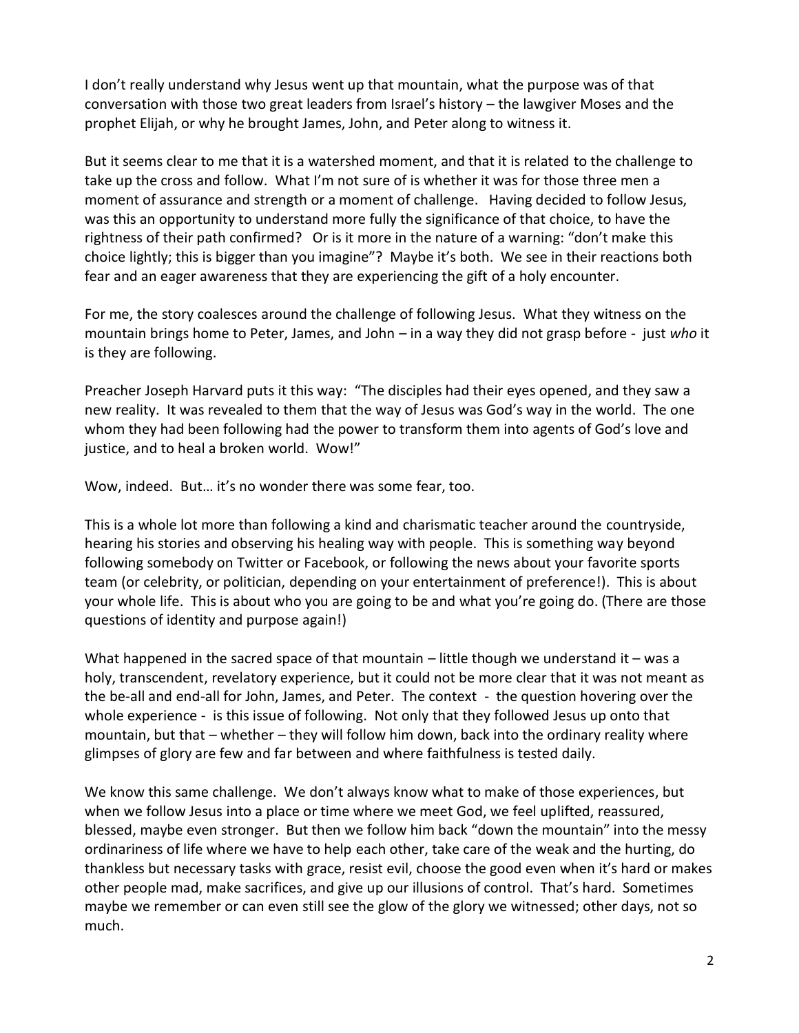I don't really understand why Jesus went up that mountain, what the purpose was of that conversation with those two great leaders from Israel's history – the lawgiver Moses and the prophet Elijah, or why he brought James, John, and Peter along to witness it.

But it seems clear to me that it is a watershed moment, and that it is related to the challenge to take up the cross and follow. What I'm not sure of is whether it was for those three men a moment of assurance and strength or a moment of challenge. Having decided to follow Jesus, was this an opportunity to understand more fully the significance of that choice, to have the rightness of their path confirmed? Or is it more in the nature of a warning: "don't make this choice lightly; this is bigger than you imagine"? Maybe it's both. We see in their reactions both fear and an eager awareness that they are experiencing the gift of a holy encounter.

For me, the story coalesces around the challenge of following Jesus. What they witness on the mountain brings home to Peter, James, and John – in a way they did not grasp before - just *who* it is they are following.

Preacher Joseph Harvard puts it this way: "The disciples had their eyes opened, and they saw a new reality. It was revealed to them that the way of Jesus was God's way in the world. The one whom they had been following had the power to transform them into agents of God's love and justice, and to heal a broken world. Wow!"

Wow, indeed. But… it's no wonder there was some fear, too.

This is a whole lot more than following a kind and charismatic teacher around the countryside, hearing his stories and observing his healing way with people. This is something way beyond following somebody on Twitter or Facebook, or following the news about your favorite sports team (or celebrity, or politician, depending on your entertainment of preference!). This is about your whole life. This is about who you are going to be and what you're going do. (There are those questions of identity and purpose again!)

What happened in the sacred space of that mountain  $-$  little though we understand it  $-$  was a holy, transcendent, revelatory experience, but it could not be more clear that it was not meant as the be-all and end-all for John, James, and Peter. The context - the question hovering over the whole experience - is this issue of following. Not only that they followed Jesus up onto that mountain, but that – whether – they will follow him down, back into the ordinary reality where glimpses of glory are few and far between and where faithfulness is tested daily.

We know this same challenge. We don't always know what to make of those experiences, but when we follow Jesus into a place or time where we meet God, we feel uplifted, reassured, blessed, maybe even stronger. But then we follow him back "down the mountain" into the messy ordinariness of life where we have to help each other, take care of the weak and the hurting, do thankless but necessary tasks with grace, resist evil, choose the good even when it's hard or makes other people mad, make sacrifices, and give up our illusions of control. That's hard. Sometimes maybe we remember or can even still see the glow of the glory we witnessed; other days, not so much.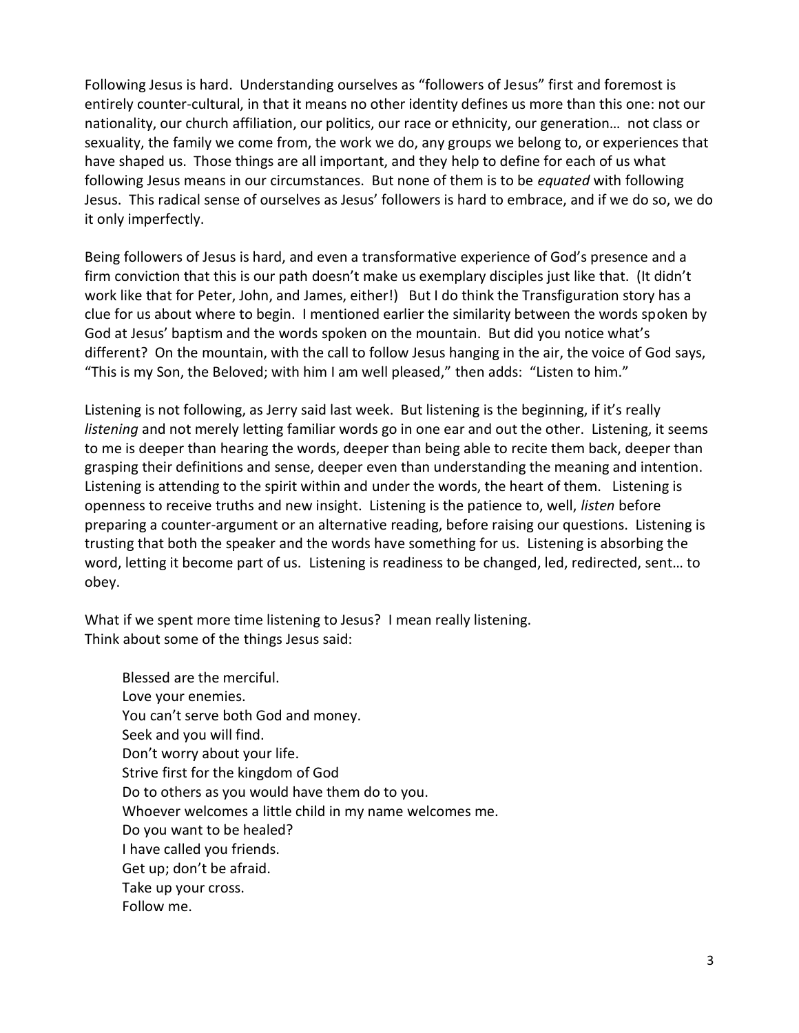Following Jesus is hard. Understanding ourselves as "followers of Jesus" first and foremost is entirely counter-cultural, in that it means no other identity defines us more than this one: not our nationality, our church affiliation, our politics, our race or ethnicity, our generation… not class or sexuality, the family we come from, the work we do, any groups we belong to, or experiences that have shaped us. Those things are all important, and they help to define for each of us what following Jesus means in our circumstances. But none of them is to be *equated* with following Jesus. This radical sense of ourselves as Jesus' followers is hard to embrace, and if we do so, we do it only imperfectly.

Being followers of Jesus is hard, and even a transformative experience of God's presence and a firm conviction that this is our path doesn't make us exemplary disciples just like that. (It didn't work like that for Peter, John, and James, either!) But I do think the Transfiguration story has a clue for us about where to begin. I mentioned earlier the similarity between the words spoken by God at Jesus' baptism and the words spoken on the mountain. But did you notice what's different? On the mountain, with the call to follow Jesus hanging in the air, the voice of God says, "This is my Son, the Beloved; with him I am well pleased," then adds: "Listen to him."

Listening is not following, as Jerry said last week. But listening is the beginning, if it's really *listening* and not merely letting familiar words go in one ear and out the other. Listening, it seems to me is deeper than hearing the words, deeper than being able to recite them back, deeper than grasping their definitions and sense, deeper even than understanding the meaning and intention. Listening is attending to the spirit within and under the words, the heart of them. Listening is openness to receive truths and new insight. Listening is the patience to, well, *listen* before preparing a counter-argument or an alternative reading, before raising our questions. Listening is trusting that both the speaker and the words have something for us. Listening is absorbing the word, letting it become part of us. Listening is readiness to be changed, led, redirected, sent… to obey.

What if we spent more time listening to Jesus? I mean really listening. Think about some of the things Jesus said:

Blessed are the merciful. Love your enemies. You can't serve both God and money. Seek and you will find. Don't worry about your life. Strive first for the kingdom of God Do to others as you would have them do to you. Whoever welcomes a little child in my name welcomes me. Do you want to be healed? I have called you friends. Get up; don't be afraid. Take up your cross. Follow me.